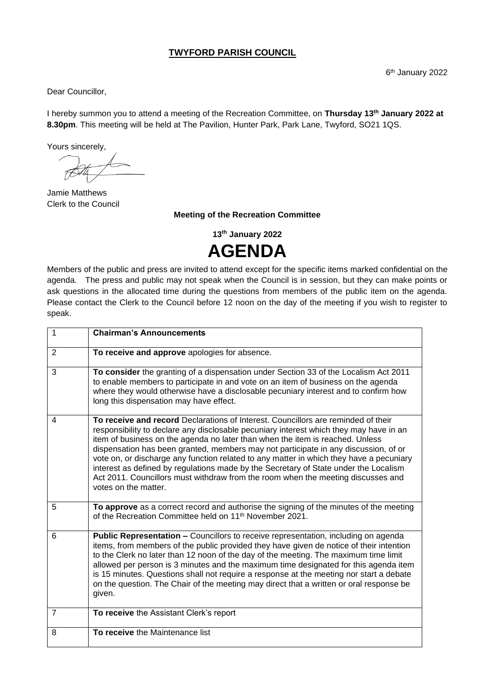#### **TWYFORD PARISH COUNCIL**

Dear Councillor,

I hereby summon you to attend a meeting of the Recreation Committee, on **Thursday 13 th January 2022 at 8.30pm**. This meeting will be held at The Pavilion, Hunter Park, Park Lane, Twyford, SO21 1QS.

Yours sincerely,

Jamie Matthews Clerk to the Council

**Meeting of the Recreation Committee**

**13 th January 2022 AGENDA**

Members of the public and press are invited to attend except for the specific items marked confidential on the agenda. The press and public may not speak when the Council is in session, but they can make points or ask questions in the allocated time during the questions from members of the public item on the agenda. Please contact the Clerk to the Council before 12 noon on the day of the meeting if you wish to register to speak.

| 1              | <b>Chairman's Announcements</b>                                                                                                                                                                                                                                                                                                                                                                                                                                                                                                                                                                                                                    |
|----------------|----------------------------------------------------------------------------------------------------------------------------------------------------------------------------------------------------------------------------------------------------------------------------------------------------------------------------------------------------------------------------------------------------------------------------------------------------------------------------------------------------------------------------------------------------------------------------------------------------------------------------------------------------|
| $\overline{2}$ | To receive and approve apologies for absence.                                                                                                                                                                                                                                                                                                                                                                                                                                                                                                                                                                                                      |
| 3              | To consider the granting of a dispensation under Section 33 of the Localism Act 2011<br>to enable members to participate in and vote on an item of business on the agenda<br>where they would otherwise have a disclosable pecuniary interest and to confirm how<br>long this dispensation may have effect.                                                                                                                                                                                                                                                                                                                                        |
| 4              | To receive and record Declarations of Interest. Councillors are reminded of their<br>responsibility to declare any disclosable pecuniary interest which they may have in an<br>item of business on the agenda no later than when the item is reached. Unless<br>dispensation has been granted, members may not participate in any discussion, of or<br>vote on, or discharge any function related to any matter in which they have a pecuniary<br>interest as defined by regulations made by the Secretary of State under the Localism<br>Act 2011. Councillors must withdraw from the room when the meeting discusses and<br>votes on the matter. |
| 5              | To approve as a correct record and authorise the signing of the minutes of the meeting<br>of the Recreation Committee held on 11 <sup>th</sup> November 2021.                                                                                                                                                                                                                                                                                                                                                                                                                                                                                      |
| 6              | <b>Public Representation – Councillors to receive representation, including on agenda</b><br>items, from members of the public provided they have given de notice of their intention<br>to the Clerk no later than 12 noon of the day of the meeting. The maximum time limit<br>allowed per person is 3 minutes and the maximum time designated for this agenda item<br>is 15 minutes. Questions shall not require a response at the meeting nor start a debate<br>on the question. The Chair of the meeting may direct that a written or oral response be<br>given.                                                                               |
| $\overline{7}$ | To receive the Assistant Clerk's report                                                                                                                                                                                                                                                                                                                                                                                                                                                                                                                                                                                                            |
| 8              | To receive the Maintenance list                                                                                                                                                                                                                                                                                                                                                                                                                                                                                                                                                                                                                    |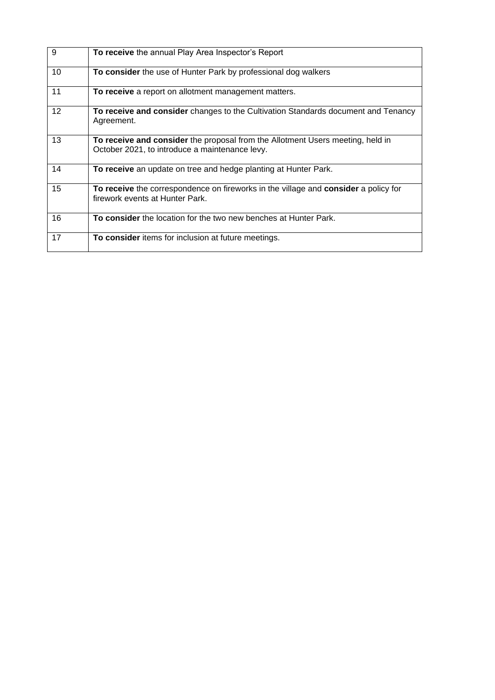| 9  | To receive the annual Play Area Inspector's Report                                                                               |
|----|----------------------------------------------------------------------------------------------------------------------------------|
| 10 | To consider the use of Hunter Park by professional dog walkers                                                                   |
| 11 | To receive a report on allotment management matters.                                                                             |
| 12 | <b>To receive and consider</b> changes to the Cultivation Standards document and Tenancy<br>Agreement.                           |
| 13 | To receive and consider the proposal from the Allotment Users meeting, held in<br>October 2021, to introduce a maintenance levy. |
| 14 | To receive an update on tree and hedge planting at Hunter Park.                                                                  |
| 15 | To receive the correspondence on fireworks in the village and consider a policy for<br>firework events at Hunter Park.           |
| 16 | To consider the location for the two new benches at Hunter Park.                                                                 |
| 17 | To consider items for inclusion at future meetings.                                                                              |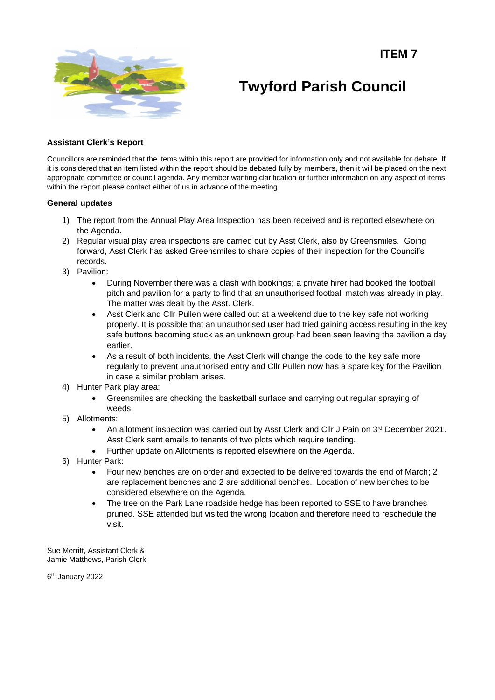**ITEM 7**



**Twyford Parish Council**

#### **Assistant Clerk's Report**

Councillors are reminded that the items within this report are provided for information only and not available for debate. If it is considered that an item listed within the report should be debated fully by members, then it will be placed on the next appropriate committee or council agenda. Any member wanting clarification or further information on any aspect of items within the report please contact either of us in advance of the meeting.

#### **General updates**

- 1) The report from the Annual Play Area Inspection has been received and is reported elsewhere on the Agenda.
- 2) Regular visual play area inspections are carried out by Asst Clerk, also by Greensmiles. Going forward, Asst Clerk has asked Greensmiles to share copies of their inspection for the Council's records.
- 3) Pavilion:
	- During November there was a clash with bookings; a private hirer had booked the football pitch and pavilion for a party to find that an unauthorised football match was already in play. The matter was dealt by the Asst. Clerk.
	- Asst Clerk and Cllr Pullen were called out at a weekend due to the key safe not working properly. It is possible that an unauthorised user had tried gaining access resulting in the key safe buttons becoming stuck as an unknown group had been seen leaving the pavilion a day earlier.
	- As a result of both incidents, the Asst Clerk will change the code to the key safe more regularly to prevent unauthorised entry and Cllr Pullen now has a spare key for the Pavilion in case a similar problem arises.
- 4) Hunter Park play area:
	- Greensmiles are checking the basketball surface and carrying out regular spraying of weeds.
- 5) Allotments:
	- An allotment inspection was carried out by Asst Clerk and Cllr J Pain on 3<sup>rd</sup> December 2021. Asst Clerk sent emails to tenants of two plots which require tending.
	- Further update on Allotments is reported elsewhere on the Agenda.
- 6) Hunter Park:
	- Four new benches are on order and expected to be delivered towards the end of March; 2 are replacement benches and 2 are additional benches. Location of new benches to be considered elsewhere on the Agenda.
	- The tree on the Park Lane roadside hedge has been reported to SSE to have branches pruned. SSE attended but visited the wrong location and therefore need to reschedule the visit.

Sue Merritt, Assistant Clerk & Jamie Matthews, Parish Clerk

6 th January 2022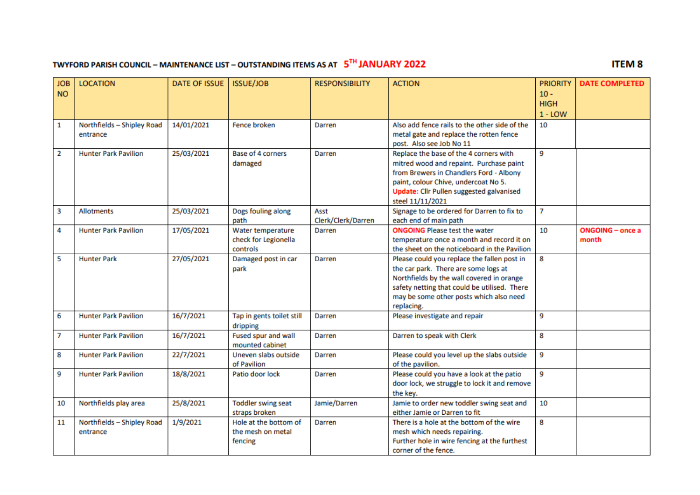## **TWYFORD PARISH COUNCIL – MAINTENANCE LIST – OUTSTANDING ITEMS AS AT**  $5^{TH}$  **JANUARY 2022**

### **ITEM8**

| <b>JOB</b>     | <b>LOCATION</b>             | <b>DATE OF ISSUE</b> | <b>ISSUE/JOB</b>          | <b>RESPONSIBILITY</b> | <b>ACTION</b>                                   | <b>PRIORITY</b> | <b>DATE COMPLETED</b>   |
|----------------|-----------------------------|----------------------|---------------------------|-----------------------|-------------------------------------------------|-----------------|-------------------------|
| <b>NO</b>      |                             |                      |                           |                       |                                                 | $10 -$          |                         |
|                |                             |                      |                           |                       |                                                 | <b>HIGH</b>     |                         |
|                |                             |                      |                           |                       |                                                 | $1 -$ LOW       |                         |
| $\mathbf{1}$   | Northfields - Shipley Road  | 14/01/2021           | <b>Fence broken</b>       | Darren                | Also add fence rails to the other side of the   | 10              |                         |
|                | entrance                    |                      |                           |                       | metal gate and replace the rotten fence         |                 |                         |
|                |                             |                      |                           |                       | post. Also see Job No 11                        |                 |                         |
| $\overline{2}$ | <b>Hunter Park Pavilion</b> | 25/03/2021           | <b>Base of 4 corners</b>  | Darren                | Replace the base of the 4 corners with          | 9               |                         |
|                |                             |                      | damaged                   |                       | mitred wood and repaint. Purchase paint         |                 |                         |
|                |                             |                      |                           |                       | from Brewers in Chandlers Ford - Albony         |                 |                         |
|                |                             |                      |                           |                       | paint, colour Chive, undercoat No 5.            |                 |                         |
|                |                             |                      |                           |                       | <b>Update:</b> Cllr Pullen suggested galvanised |                 |                         |
|                |                             |                      |                           |                       | steel 11/11/2021                                |                 |                         |
| 3              | <b>Allotments</b>           | 25/03/2021           | Dogs fouling along        | Asst                  | Signage to be ordered for Darren to fix to      | 7               |                         |
|                |                             |                      | path                      | Clerk/Clerk/Darren    | each end of main path                           |                 |                         |
| 4              | <b>Hunter Park Pavilion</b> | 17/05/2021           | Water temperature         | Darren                | <b>ONGOING</b> Please test the water            | 10              | <b>ONGOING</b> - once a |
|                |                             |                      | check for Legionella      |                       | temperature once a month and record it on       |                 | month                   |
|                |                             |                      | controls                  |                       | the sheet on the noticeboard in the Pavilion    |                 |                         |
| 5              | <b>Hunter Park</b>          | 27/05/2021           | Damaged post in car       | Darren                | Please could you replace the fallen post in     | 8               |                         |
|                |                             |                      | park                      |                       | the car park. There are some logs at            |                 |                         |
|                |                             |                      |                           |                       | Northfields by the wall covered in orange       |                 |                         |
|                |                             |                      |                           |                       | safety netting that could be utilised. There    |                 |                         |
|                |                             |                      |                           |                       | may be some other posts which also need         |                 |                         |
|                |                             |                      |                           |                       | replacing.                                      |                 |                         |
| 6              | <b>Hunter Park Pavilion</b> | 16/7/2021            | Tap in gents toilet still | Darren                | Please investigate and repair                   | 9               |                         |
|                |                             |                      | dripping                  |                       |                                                 |                 |                         |
| 7              | <b>Hunter Park Pavilion</b> | 16/7/2021            | Fused spur and wall       | Darren                | Darren to speak with Clerk                      | 8               |                         |
|                |                             |                      | mounted cabinet           |                       |                                                 |                 |                         |
| 8              | <b>Hunter Park Pavilion</b> | 22/7/2021            | Uneven slabs outside      | Darren                | Please could you level up the slabs outside     | 9               |                         |
|                |                             |                      | of Pavilion               |                       | of the pavilion.                                |                 |                         |
| 9              | <b>Hunter Park Pavilion</b> | 18/8/2021            | Patio door lock           | Darren                | Please could you have a look at the patio       | 9               |                         |
|                |                             |                      |                           |                       | door lock, we struggle to lock it and remove    |                 |                         |
|                |                             |                      |                           |                       | the key.                                        |                 |                         |
| 10             | Northfields play area       | 25/8/2021            | <b>Toddler swing seat</b> | Jamie/Darren          | Jamie to order new toddler swing seat and       | 10              |                         |
|                |                             |                      | straps broken             |                       | either Jamie or Darren to fit                   |                 |                         |
| 11             | Northfields - Shipley Road  | 1/9/2021             | Hole at the bottom of     | Darren                | There is a hole at the bottom of the wire       | 8               |                         |
|                | entrance                    |                      | the mesh on metal         |                       | mesh which needs repairing.                     |                 |                         |
|                |                             |                      | fencing                   |                       | Further hole in wire fencing at the furthest    |                 |                         |
|                |                             |                      |                           |                       | corner of the fence.                            |                 |                         |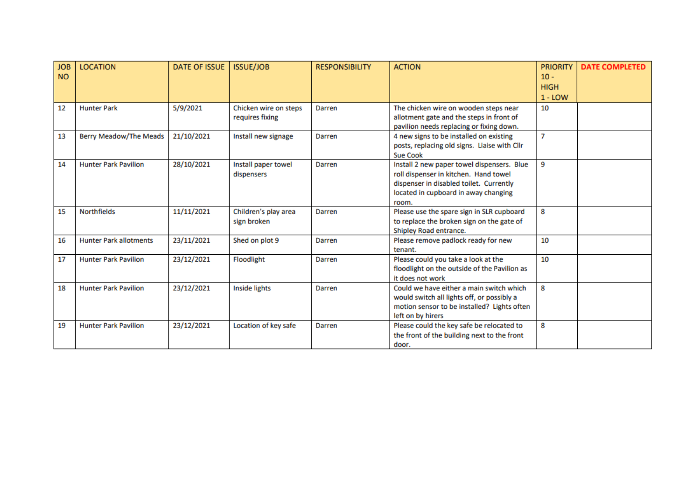| <b>JOB</b><br><b>NO</b> | <b>LOCATION</b>               | <b>DATE OF ISSUE</b> | <b>ISSUE/JOB</b>                         | <b>RESPONSIBILITY</b> | <b>ACTION</b>                                                                                                                                                                   | <b>PRIORITY</b><br>$10 -$<br><b>HIGH</b><br>$1 -$ LOW | <b>DATE COMPLETED</b> |
|-------------------------|-------------------------------|----------------------|------------------------------------------|-----------------------|---------------------------------------------------------------------------------------------------------------------------------------------------------------------------------|-------------------------------------------------------|-----------------------|
| 12                      | <b>Hunter Park</b>            | 5/9/2021             | Chicken wire on steps<br>requires fixing | Darren                | The chicken wire on wooden steps near<br>allotment gate and the steps in front of<br>pavilion needs replacing or fixing down.                                                   | 10                                                    |                       |
| 13                      | <b>Berry Meadow/The Meads</b> | 21/10/2021           | Install new signage                      | Darren                | 4 new signs to be installed on existing<br>posts, replacing old signs. Liaise with Cllr<br><b>Sue Cook</b>                                                                      | $\overline{7}$                                        |                       |
| 14                      | <b>Hunter Park Pavilion</b>   | 28/10/2021           | Install paper towel<br>dispensers        | Darren                | Install 2 new paper towel dispensers. Blue<br>roll dispenser in kitchen. Hand towel<br>dispenser in disabled toilet. Currently<br>located in cupboard in away changing<br>room. | 9                                                     |                       |
| 15                      | <b>Northfields</b>            | 11/11/2021           | Children's play area<br>sign broken      | Darren                | Please use the spare sign in SLR cupboard<br>to replace the broken sign on the gate of<br>Shipley Road entrance.                                                                | 8                                                     |                       |
| 16                      | <b>Hunter Park allotments</b> | 23/11/2021           | Shed on plot 9                           | Darren                | Please remove padlock ready for new<br>tenant.                                                                                                                                  | 10                                                    |                       |
| 17                      | <b>Hunter Park Pavilion</b>   | 23/12/2021           | Floodlight                               | Darren                | Please could you take a look at the<br>floodlight on the outside of the Pavilion as<br>it does not work                                                                         | 10                                                    |                       |
| 18                      | <b>Hunter Park Pavilion</b>   | 23/12/2021           | <b>Inside lights</b>                     | Darren                | Could we have either a main switch which<br>would switch all lights off, or possibly a<br>motion sensor to be installed? Lights often<br>left on by hirers                      | 8                                                     |                       |
| 19                      | <b>Hunter Park Pavilion</b>   | 23/12/2021           | Location of key safe                     | Darren                | Please could the key safe be relocated to<br>the front of the building next to the front<br>door.                                                                               | 8                                                     |                       |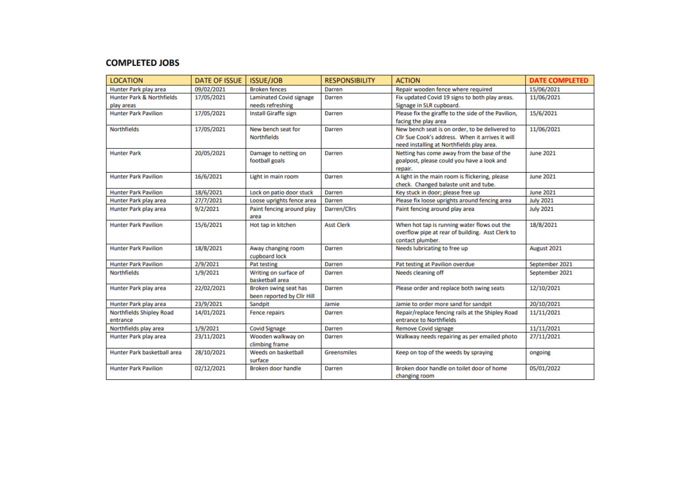#### **COMPLETED JOBS**

| <b>LOCATION</b>                      | <b>DATE OF ISSUE</b> | <b>ISSUE/JOB</b>                    | <b>RESPONSIBILITY</b> | <b>ACTION</b>                                       | <b>DATE COMPLETED</b> |
|--------------------------------------|----------------------|-------------------------------------|-----------------------|-----------------------------------------------------|-----------------------|
| Hunter Park play area                | 09/02/2021           | <b>Broken fences</b>                | Darren                | Repair wooden fence where required                  | 15/06/2021            |
| <b>Hunter Park &amp; Northfields</b> | 17/05/2021           | <b>Laminated Covid signage</b>      | Darren                | Fix updated Covid 19 signs to both play areas.      | 11/06/2021            |
| play areas                           |                      | needs refreshing                    |                       | Signage in SLR cupboard.                            |                       |
| <b>Hunter Park Pavilion</b>          | 17/05/2021           | <b>Install Giraffe sign</b>         | Darren                | Please fix the giraffe to the side of the Pavilion, | 15/6/2021             |
|                                      |                      |                                     |                       | facing the play area                                |                       |
| <b>Northfields</b>                   | 17/05/2021           | New bench seat for                  | Darren                | New bench seat is on order, to be delivered to      | 11/06/2021            |
|                                      |                      | <b>Northfields</b>                  |                       | Cllr Sue Cook's address. When it arrives it will    |                       |
|                                      |                      |                                     |                       | need installing at Northfields play area.           |                       |
| <b>Hunter Park</b>                   | 20/05/2021           | Damage to netting on                | Darren                | Netting has come away from the base of the          | <b>June 2021</b>      |
|                                      |                      | football goals                      |                       | goalpost, please could you have a look and          |                       |
|                                      |                      |                                     |                       | repair.                                             |                       |
| <b>Hunter Park Pavilion</b>          | 16/6/2021            | Light in main room                  | Darren                | A light in the main room is flickering, please      | <b>June 2021</b>      |
|                                      |                      |                                     |                       | check. Changed balaste unit and tube.               |                       |
| <b>Hunter Park Pavilion</b>          | 18/6/2021            | Lock on patio door stuck            | Darren                | Key stuck in door; please free up                   | <b>June 2021</b>      |
| Hunter Park play area                | 27/7/2021            | Loose uprights fence area           | Darren                | Please fix loose uprights around fencing area       | <b>July 2021</b>      |
| Hunter Park play area                | 9/2/2021             | Paint fencing around play<br>area   | Darren/Cllrs          | Paint fencing around play area                      | <b>July 2021</b>      |
| <b>Hunter Park Pavilion</b>          | 15/6/2021            | Hot tap in kitchen                  | <b>Asst Clerk</b>     | When hot tap is running water flows out the         | 18/8/2021             |
|                                      |                      |                                     |                       | overflow pipe at rear of building. Asst Clerk to    |                       |
|                                      |                      |                                     |                       | contact plumber.                                    |                       |
| <b>Hunter Park Pavilion</b>          | 18/8/2021            | Away changing room                  | Darren                | Needs lubricating to free up                        | August 2021           |
|                                      |                      | cupboard lock                       |                       |                                                     |                       |
| <b>Hunter Park Pavilion</b>          | 2/9/2021             | Pat testing                         | Darren                | Pat testing at Pavilion overdue                     | September 2021        |
| <b>Northfields</b>                   | 1/9/2021             | Writing on surface of               | Darren                | Needs cleaning off                                  | September 2021        |
|                                      |                      | basketball area                     |                       |                                                     |                       |
| Hunter Park play area                | 22/02/2021           | Broken swing seat has               | Darren                | Please order and replace both swing seats           | 12/10/2021            |
|                                      |                      | been reported by Cllr Hill          |                       |                                                     |                       |
| Hunter Park play area                | 23/9/2021            | Sandpit                             | Jamie                 | Jamie to order more sand for sandpit                | 20/10/2021            |
| Northfields Shipley Road             | 14/01/2021           | <b>Fence repairs</b>                | Darren                | Repair/replace fencing rails at the Shipley Road    | 11/11/2021            |
| entrance                             |                      |                                     |                       | entrance to Northfields                             |                       |
| Northfields play area                | 1/9/2021             | <b>Covid Signage</b>                | Darren                | <b>Remove Covid signage</b>                         | 11/11/2021            |
| Hunter Park play area                | 23/11/2021           | Wooden walkway on<br>climbing frame | Darren                | Walkway needs repairing as per emailed photo        | 27/11/2021            |
| Hunter Park basketball area          | 28/10/2021           | Weeds on basketball                 | Greensmiles           | Keep on top of the weeds by spraying                | ongoing               |
|                                      |                      | surface                             |                       |                                                     |                       |
| <b>Hunter Park Pavilion</b>          | 02/12/2021           | Broken door handle                  | Darren                | Broken door handle on toilet door of home           | 05/01/2022            |
|                                      |                      |                                     |                       | changing room                                       |                       |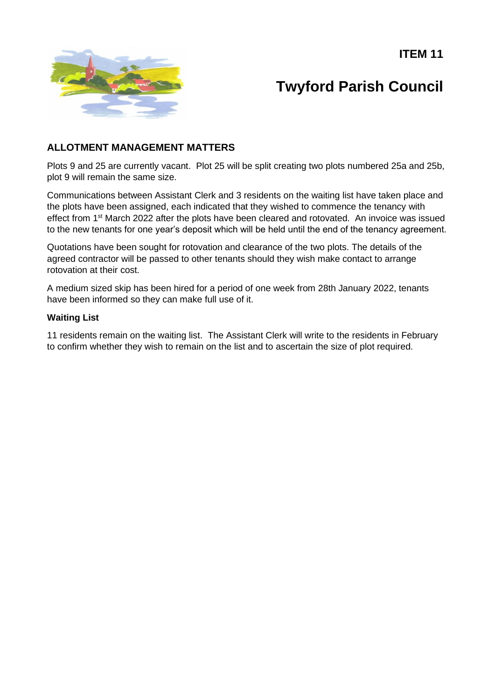**ITEM 11**



# **Twyford Parish Council**

### **ALLOTMENT MANAGEMENT MATTERS**

Plots 9 and 25 are currently vacant. Plot 25 will be split creating two plots numbered 25a and 25b, plot 9 will remain the same size.

Communications between Assistant Clerk and 3 residents on the waiting list have taken place and the plots have been assigned, each indicated that they wished to commence the tenancy with effect from 1<sup>st</sup> March 2022 after the plots have been cleared and rotovated. An invoice was issued to the new tenants for one year's deposit which will be held until the end of the tenancy agreement.

Quotations have been sought for rotovation and clearance of the two plots. The details of the agreed contractor will be passed to other tenants should they wish make contact to arrange rotovation at their cost.

A medium sized skip has been hired for a period of one week from 28th January 2022, tenants have been informed so they can make full use of it.

#### **Waiting List**

11 residents remain on the waiting list. The Assistant Clerk will write to the residents in February to confirm whether they wish to remain on the list and to ascertain the size of plot required.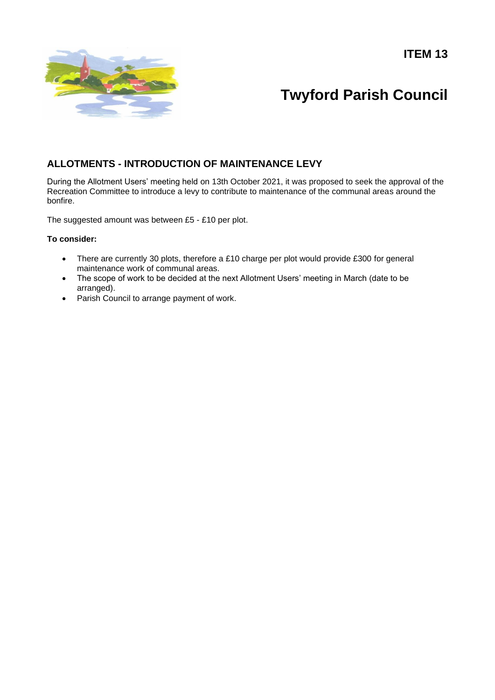**ITEM 13**



# **Twyford Parish Council**

### **ALLOTMENTS - INTRODUCTION OF MAINTENANCE LEVY**

During the Allotment Users' meeting held on 13th October 2021, it was proposed to seek the approval of the Recreation Committee to introduce a levy to contribute to maintenance of the communal areas around the bonfire.

The suggested amount was between £5 - £10 per plot.

#### **To consider:**

- There are currently 30 plots, therefore a £10 charge per plot would provide £300 for general maintenance work of communal areas.
- The scope of work to be decided at the next Allotment Users' meeting in March (date to be arranged).
- Parish Council to arrange payment of work.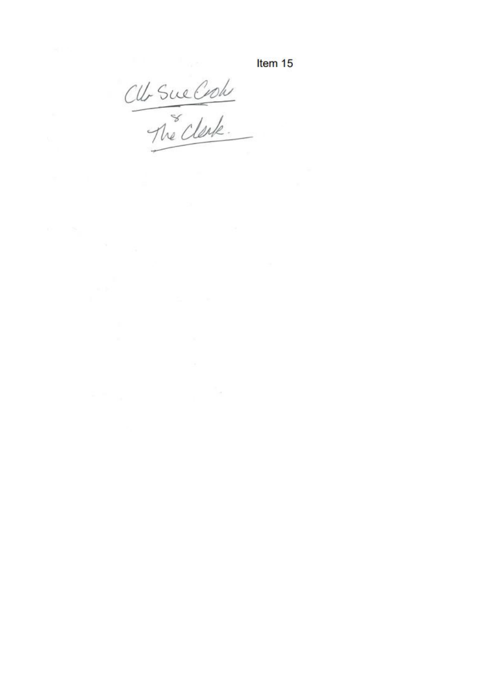Item 15

CU-Sue Croh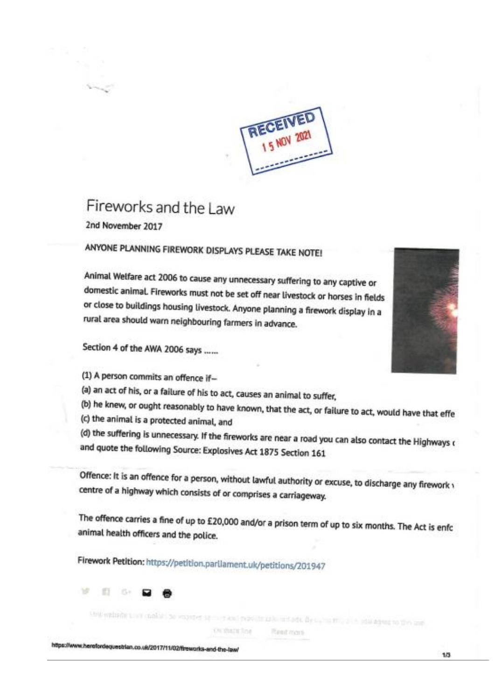

# Fireworks and the Law

2nd November 2017

## ANYONE PLANNING FIREWORK DISPLAYS PLEASE TAKE NOTE!

Animal Welfare act 2006 to cause any unnecessary suffering to any captive or domestic animal. Fireworks must not be set off near livestock or horses in fields or close to buildings housing livestock. Anyone planning a firework display in a rural area should warn neighbouring farmers in advance.

Section 4 of the AWA 2006 says ......

(1) A person commits an offence if-

(a) an act of his, or a failure of his to act, causes an animal to suffer,

(b) he knew, or ought reasonably to have known, that the act, or failure to act, would have that effe

(c) the animal is a protected animal, and

(d) the suffering is unnecessary. If the fireworks are near a road you can also contact the Highways o and quote the following Source: Explosives Act 1875 Section 161

Offence: It is an offence for a person, without lawful authority or excuse, to discharge any firework \ centre of a highway which consists of or comprises a carriageway.

The offence carries a fine of up to £20,000 and/or a prison term of up to six months. The Act is enfc animal health officers and the police.

Firework Petition: https://petition.parliament.uk/petitions/201947



this entirely they make the express evolving a home adv. By such a this principal agent to the auto

*Chi that's fine* **Rent** mars

https://www.herefordequestrian.co.uk/2017/11/02/fireworks-and-the-law/

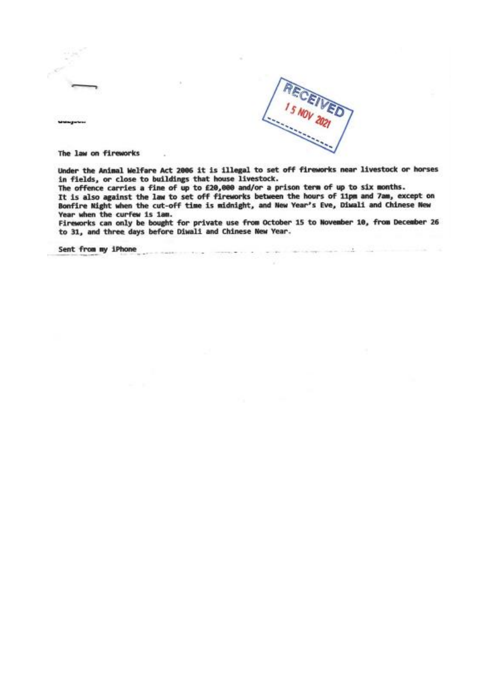



The law on fireworks

Under the Animal Welfare Act 2006 it is illegal to set off fireworks near livestock or horses in fields, or close to buildings that house livestock.

The offence carries a fine of up to £20,000 and/or a prison term of up to six months. It is also against the law to set off fireworks between the hours of 11pm and 7am, except on Bonfire Night when the cut-off time is midnight, and New Year's Eve, Diwali and Chinese New Year when the curfew is iam.

Fireworks can only be bought for private use from October 15 to November 10, from December 26 to 31, and three days before Diwali and Chinese New Year.

Sent from my iPhone